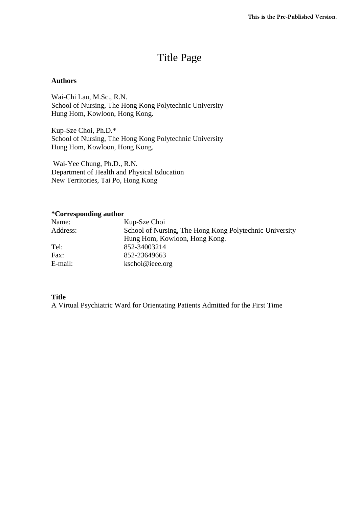# Title Page

# **Authors**

Wai-Chi Lau, M.Sc., R.N. School of Nursing, The Hong Kong Polytechnic University Hung Hom, Kowloon, Hong Kong.

Kup-Sze Choi, Ph.D.\* School of Nursing, The Hong Kong Polytechnic University Hung Hom, Kowloon, Hong Kong.

Wai-Yee Chung, Ph.D., R.N. Department of Health and Physical Education New Territories, Tai Po, Hong Kong

# **\*Corresponding author**

| Name:    | Kup-Sze Choi                                            |
|----------|---------------------------------------------------------|
| Address: | School of Nursing, The Hong Kong Polytechnic University |
|          | Hung Hom, Kowloon, Hong Kong.                           |
| Tel:     | 852-34003214                                            |
| Fax:     | 852-23649663                                            |
| E-mail:  | kschoi@ieee.org                                         |

# **Title**

A Virtual Psychiatric Ward for Orientating Patients Admitted for the First Time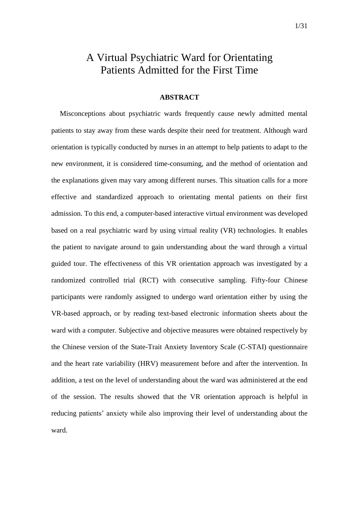# A Virtual Psychiatric Ward for Orientating Patients Admitted for the First Time

# **ABSTRACT**

Misconceptions about psychiatric wards frequently cause newly admitted mental patients to stay away from these wards despite their need for treatment. Although ward orientation is typically conducted by nurses in an attempt to help patients to adapt to the new environment, it is considered time-consuming, and the method of orientation and the explanations given may vary among different nurses. This situation calls for a more effective and standardized approach to orientating mental patients on their first admission. To this end, a computer-based interactive virtual environment was developed based on a real psychiatric ward by using virtual reality (VR) technologies. It enables the patient to navigate around to gain understanding about the ward through a virtual guided tour. The effectiveness of this VR orientation approach was investigated by a randomized controlled trial (RCT) with consecutive sampling. Fifty-four Chinese participants were randomly assigned to undergo ward orientation either by using the VR-based approach, or by reading text-based electronic information sheets about the ward with a computer. Subjective and objective measures were obtained respectively by the Chinese version of the State-Trait Anxiety Inventory Scale (C-STAI) questionnaire and the heart rate variability (HRV) measurement before and after the intervention. In addition, a test on the level of understanding about the ward was administered at the end of the session. The results showed that the VR orientation approach is helpful in reducing patients' anxiety while also improving their level of understanding about the ward.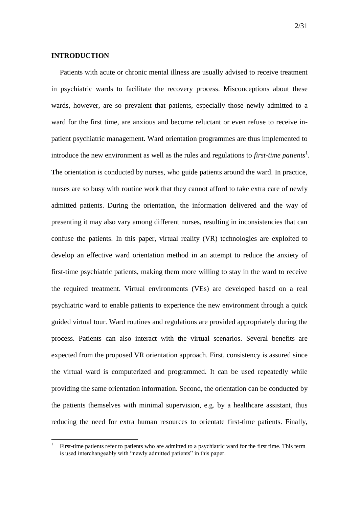#### **INTRODUCTION**

<u>.</u>

Patients with acute or chronic mental illness are usually advised to receive treatment in psychiatric wards to facilitate the recovery process. Misconceptions about these wards, however, are so prevalent that patients, especially those newly admitted to a ward for the first time, are anxious and become reluctant or even refuse to receive inpatient psychiatric management. Ward orientation programmes are thus implemented to introduce the new environment as well as the rules and regulations to *first-time patients*<sup>1</sup>. The orientation is conducted by nurses, who guide patients around the ward. In practice, nurses are so busy with routine work that they cannot afford to take extra care of newly admitted patients. During the orientation, the information delivered and the way of presenting it may also vary among different nurses, resulting in inconsistencies that can confuse the patients. In this paper, virtual reality (VR) technologies are exploited to develop an effective ward orientation method in an attempt to reduce the anxiety of first-time psychiatric patients, making them more willing to stay in the ward to receive the required treatment. Virtual environments (VEs) are developed based on a real psychiatric ward to enable patients to experience the new environment through a quick guided virtual tour. Ward routines and regulations are provided appropriately during the process. Patients can also interact with the virtual scenarios. Several benefits are expected from the proposed VR orientation approach. First, consistency is assured since the virtual ward is computerized and programmed. It can be used repeatedly while providing the same orientation information. Second, the orientation can be conducted by the patients themselves with minimal supervision, e.g. by a healthcare assistant, thus reducing the need for extra human resources to orientate first-time patients. Finally,

<sup>1</sup> First-time patients refer to patients who are admitted to a psychiatric ward for the first time. This term is used interchangeably with "newly admitted patients" in this paper.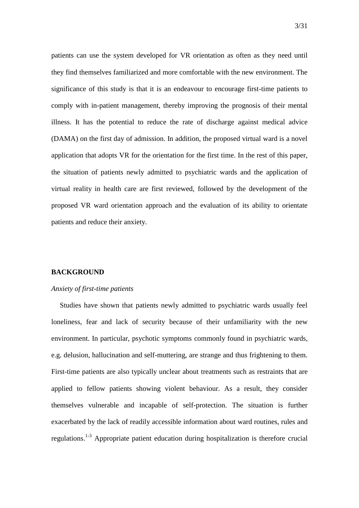patients can use the system developed for VR orientation as often as they need until they find themselves familiarized and more comfortable with the new environment. The significance of this study is that it is an endeavour to encourage first-time patients to comply with in-patient management, thereby improving the prognosis of their mental illness. It has the potential to reduce the rate of discharge against medical advice (DAMA) on the first day of admission. In addition, the proposed virtual ward is a novel application that adopts VR for the orientation for the first time. In the rest of this paper, the situation of patients newly admitted to psychiatric wards and the application of virtual reality in health care are first reviewed, followed by the development of the proposed VR ward orientation approach and the evaluation of its ability to orientate patients and reduce their anxiety.

#### **BACKGROUND**

#### *Anxiety of first-time patients*

Studies have shown that patients newly admitted to psychiatric wards usually feel loneliness, fear and lack of security because of their unfamiliarity with the new environment. In particular, psychotic symptoms commonly found in psychiatric wards, e.g. delusion, hallucination and self-muttering, are strange and thus frightening to them. First-time patients are also typically unclear about treatments such as restraints that are applied to fellow patients showing violent behaviour. As a result, they consider themselves vulnerable and incapable of self-protection. The situation is further exacerbated by the lack of readily accessible information about ward routines, rules and regulations.<sup>1-3</sup> Appropriate patient education during hospitalization is therefore crucial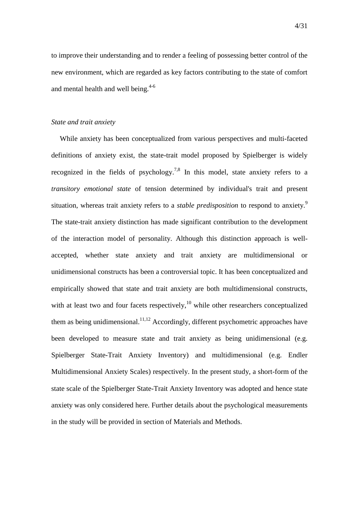to improve their understanding and to render a feeling of possessing better control of the new environment, which are regarded as key factors contributing to the state of comfort and mental health and well being. $4-6$ 

#### *State and trait anxiety*

While anxiety has been conceptualized from various perspectives and multi-faceted definitions of anxiety exist, the state-trait model proposed by Spielberger is widely recognized in the fields of psychology.<sup>7,8</sup> In this model, state anxiety refers to a *transitory emotional state* of tension determined by individual's trait and present situation, whereas trait anxiety refers to a *stable predisposition* to respond to anxiety. 9 The state-trait anxiety distinction has made significant contribution to the development of the interaction model of personality. Although this distinction approach is wellaccepted, whether state anxiety and trait anxiety are multidimensional or unidimensional constructs has been a controversial topic. It has been conceptualized and empirically showed that state and trait anxiety are both multidimensional constructs, with at least two and four facets respectively,<sup>10</sup> while other researchers conceptualized them as being unidimensional.<sup>11,12</sup> Accordingly, different psychometric approaches have been developed to measure state and trait anxiety as being unidimensional (e.g. Spielberger State-Trait Anxiety Inventory) and multidimensional (e.g. Endler Multidimensional Anxiety Scales) respectively. In the present study, a short-form of the state scale of the Spielberger State-Trait Anxiety Inventory was adopted and hence state anxiety was only considered here. Further details about the psychological measurements in the study will be provided in section of Materials and Methods.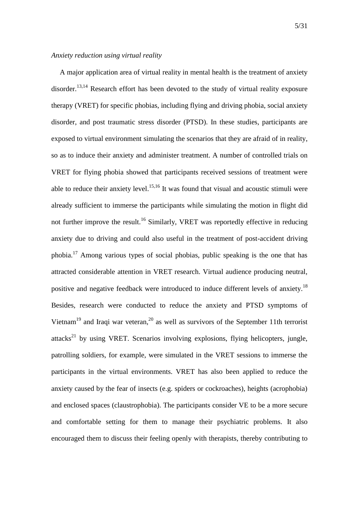A major application area of virtual reality in mental health is the treatment of anxiety disorder.<sup>13,14</sup> Research effort has been devoted to the study of virtual reality exposure therapy (VRET) for specific phobias, including flying and driving phobia, social anxiety disorder, and post traumatic stress disorder (PTSD). In these studies, participants are exposed to virtual environment simulating the scenarios that they are afraid of in reality, so as to induce their anxiety and administer treatment. A number of controlled trials on VRET for flying phobia showed that participants received sessions of treatment were able to reduce their anxiety level.<sup>15,16</sup> It was found that visual and acoustic stimuli were already sufficient to immerse the participants while simulating the motion in flight did not further improve the result.<sup>16</sup> Similarly, VRET was reportedly effective in reducing anxiety due to driving and could also useful in the treatment of post-accident driving phobia.<sup>17</sup> Among various types of social phobias, public speaking is the one that has attracted considerable attention in VRET research. Virtual audience producing neutral, positive and negative feedback were introduced to induce different levels of anxiety.<sup>18</sup> Besides, research were conducted to reduce the anxiety and PTSD symptoms of Vietnam<sup>19</sup> and Iraqi war veteran,<sup>20</sup> as well as survivors of the September 11th terrorist attacks<sup>21</sup> by using VRET. Scenarios involving explosions, flying helicopters, jungle, patrolling soldiers, for example, were simulated in the VRET sessions to immerse the participants in the virtual environments. VRET has also been applied to reduce the anxiety caused by the fear of insects (e.g. spiders or cockroaches), heights (acrophobia) and enclosed spaces (claustrophobia). The participants consider VE to be a more secure and comfortable setting for them to manage their psychiatric problems. It also encouraged them to discuss their feeling openly with therapists, thereby contributing to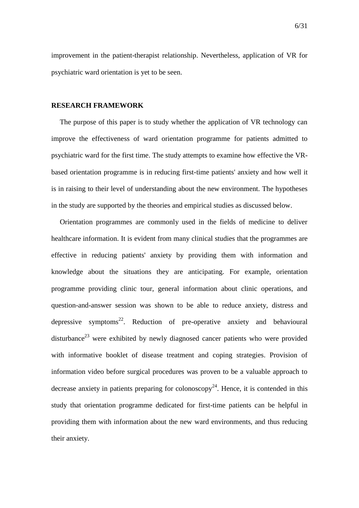improvement in the patient-therapist relationship. Nevertheless, application of VR for psychiatric ward orientation is yet to be seen.

#### **RESEARCH FRAMEWORK**

The purpose of this paper is to study whether the application of VR technology can improve the effectiveness of ward orientation programme for patients admitted to psychiatric ward for the first time. The study attempts to examine how effective the VRbased orientation programme is in reducing first-time patients' anxiety and how well it is in raising to their level of understanding about the new environment. The hypotheses in the study are supported by the theories and empirical studies as discussed below.

Orientation programmes are commonly used in the fields of medicine to deliver healthcare information. It is evident from many clinical studies that the programmes are effective in reducing patients' anxiety by providing them with information and knowledge about the situations they are anticipating. For example, orientation programme providing clinic tour, general information about clinic operations, and question-and-answer session was shown to be able to reduce anxiety, distress and depressive symptoms<sup>22</sup>. Reduction of pre-operative anxiety and behavioural disturbance<sup>23</sup> were exhibited by newly diagnosed cancer patients who were provided with informative booklet of disease treatment and coping strategies. Provision of information video before surgical procedures was proven to be a valuable approach to decrease anxiety in patients preparing for colonoscopy<sup>24</sup>. Hence, it is contended in this study that orientation programme dedicated for first-time patients can be helpful in providing them with information about the new ward environments, and thus reducing their anxiety.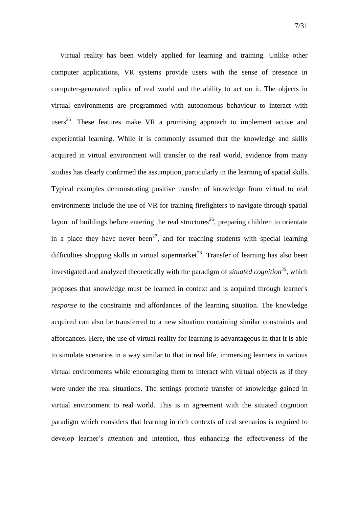Virtual reality has been widely applied for learning and training. Unlike other computer applications, VR systems provide users with the sense of presence in computer-generated replica of real world and the ability to act on it. The objects in virtual environments are programmed with autonomous behaviour to interact with users<sup>25</sup>. These features make VR a promising approach to implement active and experiential learning. While it is commonly assumed that the knowledge and skills acquired in virtual environment will transfer to the real world, evidence from many studies has clearly confirmed the assumption, particularly in the learning of spatial skills. Typical examples demonstrating positive transfer of knowledge from virtual to real environments include the use of VR for training firefighters to navigate through spatial layout of buildings before entering the real structures<sup>26</sup>, preparing children to orientate in a place they have never been<sup>27</sup>, and for teaching students with special learning difficulties shopping skills in virtual supermarket<sup>28</sup>. Transfer of learning has also been investigated and analyzed theoretically with the paradigm of *situated cognition*<sup>25</sup>, which proposes that knowledge must be learned in context and is acquired through learner's *response* to the constraints and affordances of the learning situation. The knowledge acquired can also be transferred to a new situation containing similar constraints and affordances. Here, the use of virtual reality for learning is advantageous in that it is able to simulate scenarios in a way similar to that in real life, immersing learners in various virtual environments while encouraging them to interact with virtual objects as if they were under the real situations. The settings promote transfer of knowledge gained in virtual environment to real world. This is in agreement with the situated cognition paradigm which considers that learning in rich contexts of real scenarios is required to develop learner's attention and intention, thus enhancing the effectiveness of the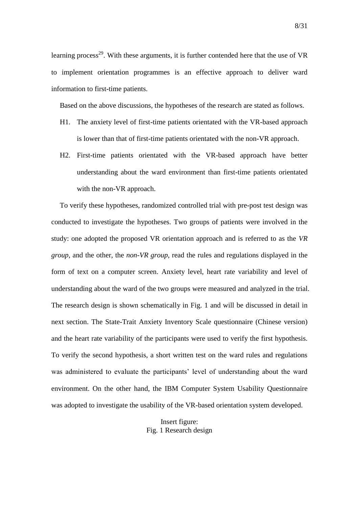learning process<sup>29</sup>. With these arguments, it is further contended here that the use of  $VR$ to implement orientation programmes is an effective approach to deliver ward information to first-time patients.

Based on the above discussions, the hypotheses of the research are stated as follows.

- H1. The anxiety level of first-time patients orientated with the VR-based approach is lower than that of first-time patients orientated with the non-VR approach.
- H2. First-time patients orientated with the VR-based approach have better understanding about the ward environment than first-time patients orientated with the non-VR approach.

To verify these hypotheses, randomized controlled trial with pre-post test design was conducted to investigate the hypotheses. Two groups of patients were involved in the study: one adopted the proposed VR orientation approach and is referred to as the *VR group*, and the other, the *non-VR group*, read the rules and regulations displayed in the form of text on a computer screen. Anxiety level, heart rate variability and level of understanding about the ward of the two groups were measured and analyzed in the trial. The research design is shown schematically in [Fig. 1](#page-8-0) and will be discussed in detail in next section. The State-Trait Anxiety Inventory Scale questionnaire (Chinese version) and the heart rate variability of the participants were used to verify the first hypothesis. To verify the second hypothesis, a short written test on the ward rules and regulations was administered to evaluate the participants' level of understanding about the ward environment. On the other hand, the IBM Computer System Usability Questionnaire was adopted to investigate the usability of the VR-based orientation system developed.

> <span id="page-8-0"></span>Insert figure: Fig. 1 Research design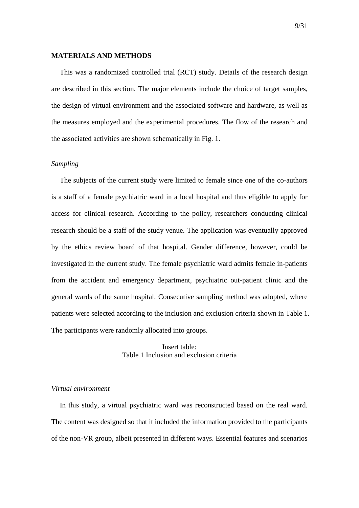#### **MATERIALS AND METHODS**

This was a randomized controlled trial (RCT) study. Details of the research design are described in this section. The major elements include the choice of target samples, the design of virtual environment and the associated software and hardware, as well as the measures employed and the experimental procedures. The flow of the research and the associated activities are shown schematically in [Fig. 1.](#page-8-0)

#### *Sampling*

The subjects of the current study were limited to female since one of the co-authors is a staff of a female psychiatric ward in a local hospital and thus eligible to apply for access for clinical research. According to the policy, researchers conducting clinical research should be a staff of the study venue. The application was eventually approved by the ethics review board of that hospital. Gender difference, however, could be investigated in the current study. The female psychiatric ward admits female in-patients from the accident and emergency department, psychiatric out-patient clinic and the general wards of the same hospital. Consecutive sampling method was adopted, where patients were selected according to the inclusion and exclusion criteria shown in [Table 1.](#page-9-0) The participants were randomly allocated into groups.

> Insert table: Table 1 Inclusion and exclusion criteria

# <span id="page-9-0"></span>*Virtual environment*

In this study, a virtual psychiatric ward was reconstructed based on the real ward. The content was designed so that it included the information provided to the participants of the non-VR group, albeit presented in different ways. Essential features and scenarios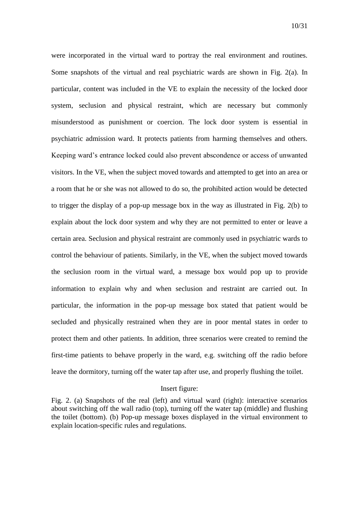were incorporated in the virtual ward to portray the real environment and routines. Some snapshots of the virtual and real psychiatric wards are shown in [Fig. 2\(](#page-10-0)a). In particular, content was included in the VE to explain the necessity of the locked door system, seclusion and physical restraint, which are necessary but commonly misunderstood as punishment or coercion. The lock door system is essential in psychiatric admission ward. It protects patients from harming themselves and others. Keeping ward's entrance locked could also prevent abscondence or access of unwanted visitors. In the VE, when the subject moved towards and attempted to get into an area or a room that he or she was not allowed to do so, the prohibited action would be detected to trigger the display of a pop-up message box in the way as illustrated in [Fig. 2\(](#page-10-0)b) to explain about the lock door system and why they are not permitted to enter or leave a certain area. Seclusion and physical restraint are commonly used in psychiatric wards to control the behaviour of patients. Similarly, in the VE, when the subject moved towards the seclusion room in the virtual ward, a message box would pop up to provide information to explain why and when seclusion and restraint are carried out. In particular, the information in the pop-up message box stated that patient would be secluded and physically restrained when they are in poor mental states in order to protect them and other patients. In addition, three scenarios were created to remind the first-time patients to behave properly in the ward, e.g. switching off the radio before leave the dormitory, turning off the water tap after use, and properly flushing the toilet.

#### Insert figure:

<span id="page-10-0"></span>Fig. 2. (a) Snapshots of the real (left) and virtual ward (right): interactive scenarios about switching off the wall radio (top), turning off the water tap (middle) and flushing the toilet (bottom). (b) Pop-up message boxes displayed in the virtual environment to explain location-specific rules and regulations.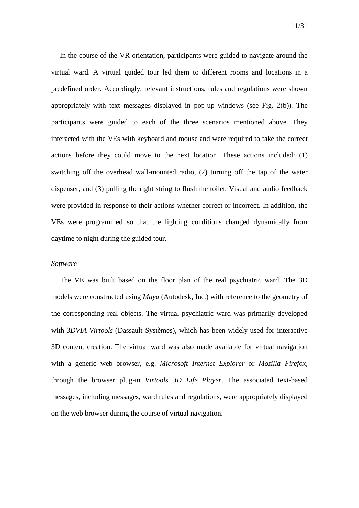In the course of the VR orientation, participants were guided to navigate around the virtual ward. A virtual guided tour led them to different rooms and locations in a predefined order. Accordingly, relevant instructions, rules and regulations were shown appropriately with text messages displayed in pop-up windows (see [Fig. 2\(](#page-10-0)b)). The participants were guided to each of the three scenarios mentioned above. They interacted with the VEs with keyboard and mouse and were required to take the correct actions before they could move to the next location. These actions included: (1) switching off the overhead wall-mounted radio, (2) turning off the tap of the water dispenser, and (3) pulling the right string to flush the toilet. Visual and audio feedback were provided in response to their actions whether correct or incorrect. In addition, the VEs were programmed so that the lighting conditions changed dynamically from daytime to night during the guided tour.

#### *Software*

The VE was built based on the floor plan of the real psychiatric ward. The 3D models were constructed using *Maya* (Autodesk, Inc.) with reference to the geometry of the corresponding real objects. The virtual psychiatric ward was primarily developed with *3DVIA Virtools* (Dassault Systèmes), which has been widely used for interactive 3D content creation. The virtual ward was also made available for virtual navigation with a generic web browser, e.g. *Microsoft Internet Explorer* or *Mozilla Firefox*, through the browser plug-in *Virtools 3D Life Player*. The associated text-based messages, including messages, ward rules and regulations, were appropriately displayed on the web browser during the course of virtual navigation.

11/31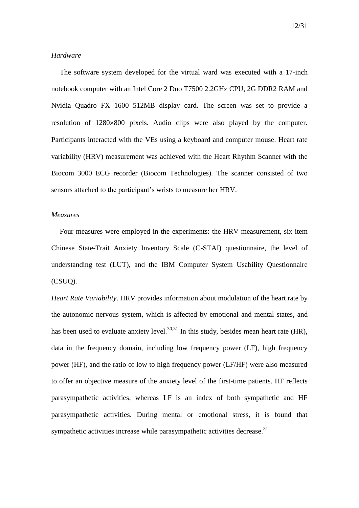#### *Hardware*

The software system developed for the virtual ward was executed with a 17-inch notebook computer with an Intel Core 2 Duo T7500 2.2GHz CPU, 2G DDR2 RAM and Nvidia Quadro FX 1600 512MB display card. The screen was set to provide a resolution of  $1280\times800$  pixels. Audio clips were also played by the computer. Participants interacted with the VEs using a keyboard and computer mouse. Heart rate variability (HRV) measurement was achieved with the Heart Rhythm Scanner with the Biocom 3000 ECG recorder (Biocom Technologies). The scanner consisted of two sensors attached to the participant's wrists to measure her HRV.

#### *Measures*

Four measures were employed in the experiments: the HRV measurement, six-item Chinese State-Trait Anxiety Inventory Scale (C-STAI) questionnaire, the level of understanding test (LUT), and the IBM Computer System Usability Questionnaire (CSUQ).

*Heart Rate Variability*. HRV provides information about modulation of the heart rate by the autonomic nervous system, which is affected by emotional and mental states, and has been used to evaluate anxiety level.<sup>30,31</sup> In this study, besides mean heart rate (HR), data in the frequency domain, including low frequency power (LF), high frequency power (HF), and the ratio of low to high frequency power (LF/HF) were also measured to offer an objective measure of the anxiety level of the first-time patients. HF reflects parasympathetic activities, whereas LF is an index of both sympathetic and HF parasympathetic activities. During mental or emotional stress, it is found that sympathetic activities increase while parasympathetic activities decrease.<sup>31</sup>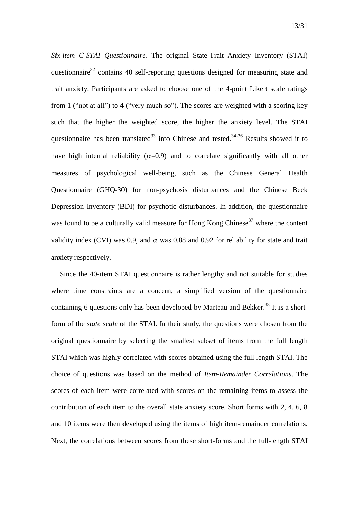*Six-item C-STAI Questionnaire*. The original State-Trait Anxiety Inventory (STAI) questionnaire $32$  contains 40 self-reporting questions designed for measuring state and

trait anxiety. Participants are asked to choose one of the 4-point Likert scale ratings from 1 ("not at all") to 4 ("very much so"). The scores are weighted with a scoring key such that the higher the weighted score, the higher the anxiety level. The STAI questionnaire has been translated $^{33}$  into Chinese and tested.<sup>34-36</sup> Results showed it to have high internal reliability ( $\alpha$ =0.9) and to correlate significantly with all other measures of psychological well-being, such as the Chinese General Health Questionnaire (GHQ-30) for non-psychosis disturbances and the Chinese Beck Depression Inventory (BDI) for psychotic disturbances. In addition, the questionnaire was found to be a culturally valid measure for Hong Kong Chinese<sup>37</sup> where the content validity index (CVI) was 0.9, and  $\alpha$  was 0.88 and 0.92 for reliability for state and trait anxiety respectively.

Since the 40-item STAI questionnaire is rather lengthy and not suitable for studies where time constraints are a concern, a simplified version of the questionnaire containing 6 questions only has been developed by Marteau and Bekker.<sup>38</sup> It is a shortform of the *state scale* of the STAI. In their study, the questions were chosen from the original questionnaire by selecting the smallest subset of items from the full length STAI which was highly correlated with scores obtained using the full length STAI. The choice of questions was based on the method of *Item-Remainder Correlations*. The scores of each item were correlated with scores on the remaining items to assess the contribution of each item to the overall state anxiety score. Short forms with 2, 4, 6, 8 and 10 items were then developed using the items of high item-remainder correlations. Next, the correlations between scores from these short-forms and the full-length STAI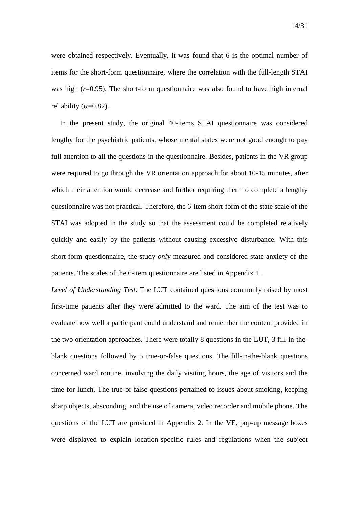were obtained respectively. Eventually, it was found that 6 is the optimal number of items for the short-form questionnaire, where the correlation with the full-length STAI was high ( $r=0.95$ ). The short-form questionnaire was also found to have high internal reliability ( $\alpha$ =0.82).

In the present study, the original 40-items STAI questionnaire was considered lengthy for the psychiatric patients, whose mental states were not good enough to pay full attention to all the questions in the questionnaire. Besides, patients in the VR group were required to go through the VR orientation approach for about 10-15 minutes, after which their attention would decrease and further requiring them to complete a lengthy questionnaire was not practical. Therefore, the 6-item short-form of the state scale of the STAI was adopted in the study so that the assessment could be completed relatively quickly and easily by the patients without causing excessive disturbance. With this short-form questionnaire, the study *only* measured and considered state anxiety of the patients. The scales of the 6-item questionnaire are listed in Appendix 1.

*Level of Understanding Test*. The LUT contained questions commonly raised by most first-time patients after they were admitted to the ward. The aim of the test was to evaluate how well a participant could understand and remember the content provided in the two orientation approaches. There were totally 8 questions in the LUT, 3 fill-in-theblank questions followed by 5 true-or-false questions. The fill-in-the-blank questions concerned ward routine, involving the daily visiting hours, the age of visitors and the time for lunch. The true-or-false questions pertained to issues about smoking, keeping sharp objects, absconding, and the use of camera, video recorder and mobile phone. The questions of the LUT are provided in Appendix 2. In the VE, pop-up message boxes were displayed to explain location-specific rules and regulations when the subject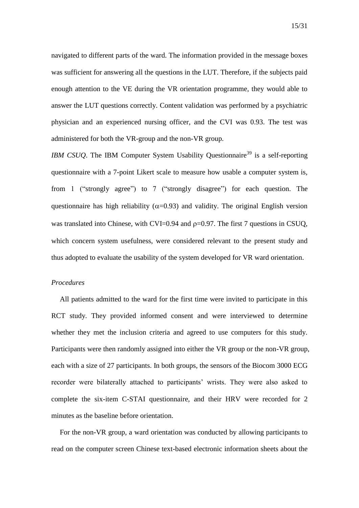navigated to different parts of the ward. The information provided in the message boxes was sufficient for answering all the questions in the LUT. Therefore, if the subjects paid enough attention to the VE during the VR orientation programme, they would able to answer the LUT questions correctly. Content validation was performed by a psychiatric physician and an experienced nursing officer, and the CVI was 0.93. The test was administered for both the VR-group and the non-VR group.

*IBM CSUQ*. The IBM Computer System Usability Questionnaire<sup>39</sup> is a self-reporting questionnaire with a 7-point Likert scale to measure how usable a computer system is, from 1 ("strongly agree") to 7 ("strongly disagree") for each question. The questionnaire has high reliability ( $\alpha$ =0.93) and validity. The original English version was translated into Chinese, with CVI=0.94 and  $p=0.97$ . The first 7 questions in CSUQ, which concern system usefulness, were considered relevant to the present study and thus adopted to evaluate the usability of the system developed for VR ward orientation.

#### *Procedures*

All patients admitted to the ward for the first time were invited to participate in this RCT study. They provided informed consent and were interviewed to determine whether they met the inclusion criteria and agreed to use computers for this study. Participants were then randomly assigned into either the VR group or the non-VR group, each with a size of 27 participants. In both groups, the sensors of the Biocom 3000 ECG recorder were bilaterally attached to participants' wrists. They were also asked to complete the six-item C-STAI questionnaire, and their HRV were recorded for 2 minutes as the baseline before orientation.

For the non-VR group, a ward orientation was conducted by allowing participants to read on the computer screen Chinese text-based electronic information sheets about the

15/31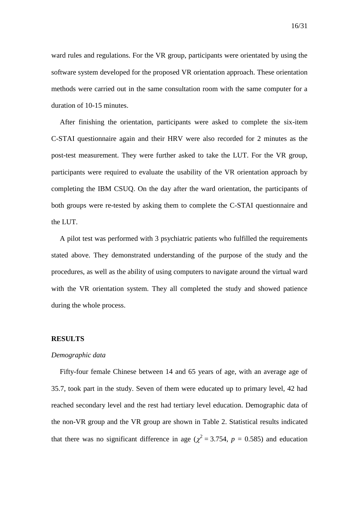ward rules and regulations. For the VR group, participants were orientated by using the software system developed for the proposed VR orientation approach. These orientation methods were carried out in the same consultation room with the same computer for a duration of 10-15 minutes.

After finishing the orientation, participants were asked to complete the six-item C-STAI questionnaire again and their HRV were also recorded for 2 minutes as the post-test measurement. They were further asked to take the LUT. For the VR group, participants were required to evaluate the usability of the VR orientation approach by completing the IBM CSUQ. On the day after the ward orientation, the participants of both groups were re-tested by asking them to complete the C-STAI questionnaire and the LUT.

A pilot test was performed with 3 psychiatric patients who fulfilled the requirements stated above. They demonstrated understanding of the purpose of the study and the procedures, as well as the ability of using computers to navigate around the virtual ward with the VR orientation system. They all completed the study and showed patience during the whole process.

#### **RESULTS**

#### *Demographic data*

Fifty-four female Chinese between 14 and 65 years of age, with an average age of 35.7, took part in the study. Seven of them were educated up to primary level, 42 had reached secondary level and the rest had tertiary level education. Demographic data of the non-VR group and the VR group are shown in [Table 2.](#page-17-0) Statistical results indicated that there was no significant difference in age ( $\chi^2$  = 3.754, *p* = 0.585) and education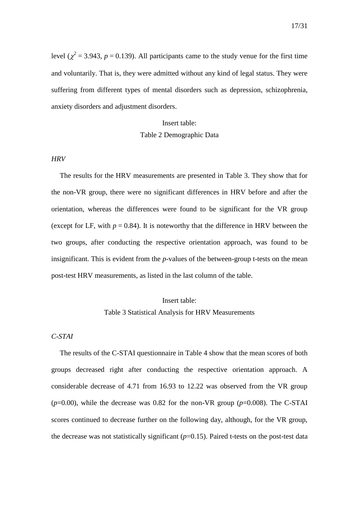level ( $\chi^2$  = 3.943, *p* = 0.139). All participants came to the study venue for the first time and voluntarily. That is, they were admitted without any kind of legal status. They were suffering from different types of mental disorders such as depression, schizophrenia, anxiety disorders and adjustment disorders.

#### Insert table:

## Table 2 Demographic Data

#### <span id="page-17-0"></span>*HRV*

The results for the HRV measurements are presented in [Table 3.](#page-17-1) They show that for the non-VR group, there were no significant differences in HRV before and after the orientation, whereas the differences were found to be significant for the VR group (except for LF, with  $p = 0.84$ ). It is noteworthy that the difference in HRV between the two groups, after conducting the respective orientation approach, was found to be insignificant. This is evident from the *p*-values of the between-group t-tests on the mean post-test HRV measurements, as listed in the last column of the table.

# Insert table: Table 3 Statistical Analysis for HRV Measurements

#### <span id="page-17-1"></span>*C-STAI*

The results of the C-STAI questionnaire in [Table 4](#page-18-0) show that the mean scores of both groups decreased right after conducting the respective orientation approach. A considerable decrease of 4.71 from 16.93 to 12.22 was observed from the VR group  $(p=0.00)$ , while the decrease was 0.82 for the non-VR group  $(p=0.008)$ . The C-STAI scores continued to decrease further on the following day, although, for the VR group, the decrease was not statistically significant  $(p=0.15)$ . Paired t-tests on the post-test data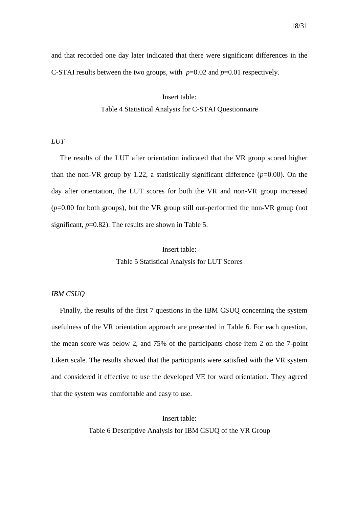and that recorded one day later indicated that there were significant differences in the C-STAI results between the two groups, with *p*=0.02 and *p*=0.01 respectively.

> Insert table: Table 4 Statistical Analysis for C-STAI Questionnaire

#### <span id="page-18-0"></span>*LUT*

The results of the LUT after orientation indicated that the VR group scored higher than the non-VR group by 1.22, a statistically significant difference  $(p=0.00)$ . On the day after orientation, the LUT scores for both the VR and non-VR group increased (*p*=0.00 for both groups), but the VR group still out-performed the non-VR group (not significant,  $p=0.82$ ). The results are shown in [Table 5.](#page-18-1)

> Insert table: Table 5 Statistical Analysis for LUT Scores

# <span id="page-18-1"></span>*IBM CSUQ*

Finally, the results of the first 7 questions in the IBM CSUQ concerning the system usefulness of the VR orientation approach are presented in [Table 6.](#page-18-2) For each question, the mean score was below 2, and 75% of the participants chose item 2 on the 7-point Likert scale. The results showed that the participants were satisfied with the VR system and considered it effective to use the developed VE for ward orientation. They agreed that the system was comfortable and easy to use.

> <span id="page-18-2"></span>Insert table: Table 6 Descriptive Analysis for IBM CSUQ of the VR Group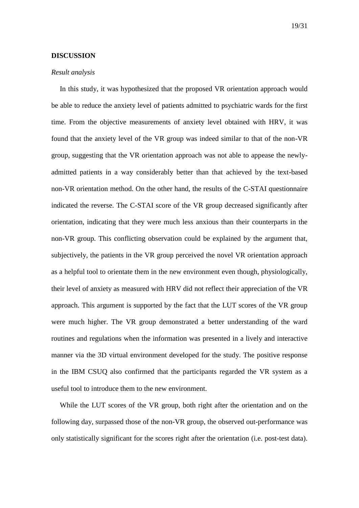#### **DISCUSSION**

#### *Result analysis*

In this study, it was hypothesized that the proposed VR orientation approach would be able to reduce the anxiety level of patients admitted to psychiatric wards for the first time. From the objective measurements of anxiety level obtained with HRV, it was found that the anxiety level of the VR group was indeed similar to that of the non-VR group, suggesting that the VR orientation approach was not able to appease the newlyadmitted patients in a way considerably better than that achieved by the text-based non-VR orientation method. On the other hand, the results of the C-STAI questionnaire indicated the reverse. The C-STAI score of the VR group decreased significantly after orientation, indicating that they were much less anxious than their counterparts in the non-VR group. This conflicting observation could be explained by the argument that, subjectively, the patients in the VR group perceived the novel VR orientation approach as a helpful tool to orientate them in the new environment even though, physiologically, their level of anxiety as measured with HRV did not reflect their appreciation of the VR approach. This argument is supported by the fact that the LUT scores of the VR group were much higher. The VR group demonstrated a better understanding of the ward routines and regulations when the information was presented in a lively and interactive manner via the 3D virtual environment developed for the study. The positive response in the IBM CSUQ also confirmed that the participants regarded the VR system as a useful tool to introduce them to the new environment.

While the LUT scores of the VR group, both right after the orientation and on the following day, surpassed those of the non-VR group, the observed out-performance was only statistically significant for the scores right after the orientation (i.e. post-test data).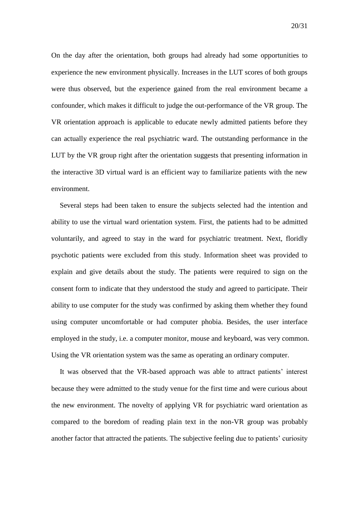On the day after the orientation, both groups had already had some opportunities to experience the new environment physically. Increases in the LUT scores of both groups were thus observed, but the experience gained from the real environment became a confounder, which makes it difficult to judge the out-performance of the VR group. The VR orientation approach is applicable to educate newly admitted patients before they can actually experience the real psychiatric ward. The outstanding performance in the LUT by the VR group right after the orientation suggests that presenting information in the interactive 3D virtual ward is an efficient way to familiarize patients with the new

environment.

Several steps had been taken to ensure the subjects selected had the intention and ability to use the virtual ward orientation system. First, the patients had to be admitted voluntarily, and agreed to stay in the ward for psychiatric treatment. Next, floridly psychotic patients were excluded from this study. Information sheet was provided to explain and give details about the study. The patients were required to sign on the consent form to indicate that they understood the study and agreed to participate. Their ability to use computer for the study was confirmed by asking them whether they found using computer uncomfortable or had computer phobia. Besides, the user interface employed in the study, i.e. a computer monitor, mouse and keyboard, was very common. Using the VR orientation system was the same as operating an ordinary computer.

It was observed that the VR-based approach was able to attract patients' interest because they were admitted to the study venue for the first time and were curious about the new environment. The novelty of applying VR for psychiatric ward orientation as compared to the boredom of reading plain text in the non-VR group was probably another factor that attracted the patients. The subjective feeling due to patients' curiosity

20/31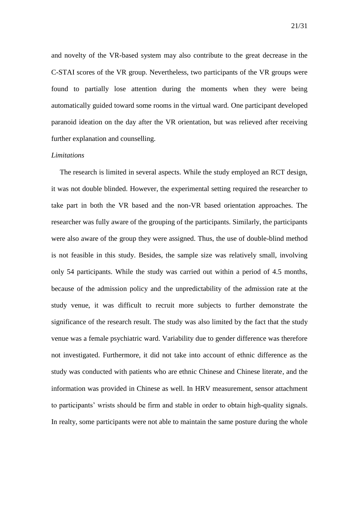and novelty of the VR-based system may also contribute to the great decrease in the C-STAI scores of the VR group. Nevertheless, two participants of the VR groups were found to partially lose attention during the moments when they were being automatically guided toward some rooms in the virtual ward. One participant developed paranoid ideation on the day after the VR orientation, but was relieved after receiving further explanation and counselling.

# *Limitations*

The research is limited in several aspects. While the study employed an RCT design, it was not double blinded. However, the experimental setting required the researcher to take part in both the VR based and the non-VR based orientation approaches. The researcher was fully aware of the grouping of the participants. Similarly, the participants were also aware of the group they were assigned. Thus, the use of double-blind method is not feasible in this study. Besides, the sample size was relatively small, involving only 54 participants. While the study was carried out within a period of 4.5 months, because of the admission policy and the unpredictability of the admission rate at the study venue, it was difficult to recruit more subjects to further demonstrate the significance of the research result. The study was also limited by the fact that the study venue was a female psychiatric ward. Variability due to gender difference was therefore not investigated. Furthermore, it did not take into account of ethnic difference as the study was conducted with patients who are ethnic Chinese and Chinese literate, and the information was provided in Chinese as well. In HRV measurement, sensor attachment to participants' wrists should be firm and stable in order to obtain high-quality signals. In realty, some participants were not able to maintain the same posture during the whole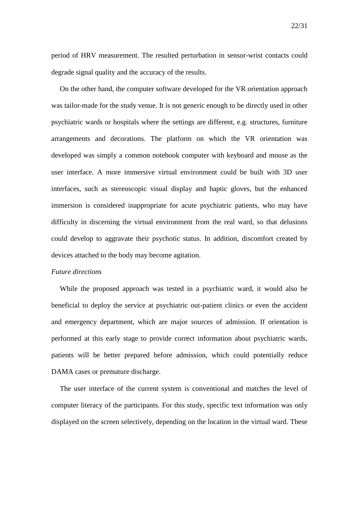period of HRV measurement. The resulted perturbation in sensor-wrist contacts could degrade signal quality and the accuracy of the results.

On the other hand, the computer software developed for the VR orientation approach was tailor-made for the study venue. It is not generic enough to be directly used in other psychiatric wards or hospitals where the settings are different, e.g. structures, furniture arrangements and decorations. The platform on which the VR orientation was developed was simply a common notebook computer with keyboard and mouse as the user interface. A more immersive virtual environment could be built with 3D user interfaces, such as stereoscopic visual display and haptic gloves, but the enhanced immersion is considered inappropriate for acute psychiatric patients, who may have difficulty in discerning the virtual environment from the real ward, so that delusions could develop to aggravate their psychotic status. In addition, discomfort created by devices attached to the body may become agitation.

#### *Future directions*

While the proposed approach was tested in a psychiatric ward, it would also be beneficial to deploy the service at psychiatric out-patient clinics or even the accident and emergency department, which are major sources of admission. If orientation is performed at this early stage to provide correct information about psychiatric wards, patients will be better prepared before admission, which could potentially reduce DAMA cases or premature discharge.

The user interface of the current system is conventional and matches the level of computer literacy of the participants. For this study, specific text information was only displayed on the screen selectively, depending on the location in the virtual ward. These

22/31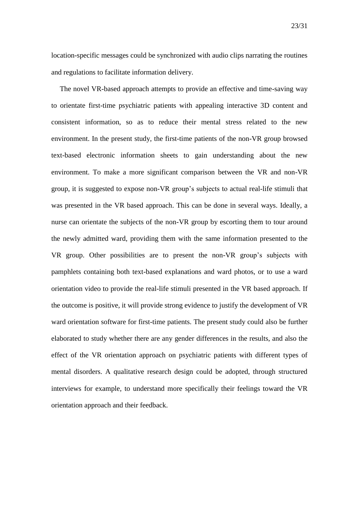location-specific messages could be synchronized with audio clips narrating the routines and regulations to facilitate information delivery.

The novel VR-based approach attempts to provide an effective and time-saving way to orientate first-time psychiatric patients with appealing interactive 3D content and consistent information, so as to reduce their mental stress related to the new environment. In the present study, the first-time patients of the non-VR group browsed text-based electronic information sheets to gain understanding about the new environment. To make a more significant comparison between the VR and non-VR group, it is suggested to expose non-VR group's subjects to actual real-life stimuli that was presented in the VR based approach. This can be done in several ways. Ideally, a nurse can orientate the subjects of the non-VR group by escorting them to tour around the newly admitted ward, providing them with the same information presented to the VR group. Other possibilities are to present the non-VR group's subjects with pamphlets containing both text-based explanations and ward photos, or to use a ward orientation video to provide the real-life stimuli presented in the VR based approach. If the outcome is positive, it will provide strong evidence to justify the development of VR ward orientation software for first-time patients. The present study could also be further elaborated to study whether there are any gender differences in the results, and also the effect of the VR orientation approach on psychiatric patients with different types of mental disorders. A qualitative research design could be adopted, through structured interviews for example, to understand more specifically their feelings toward the VR orientation approach and their feedback.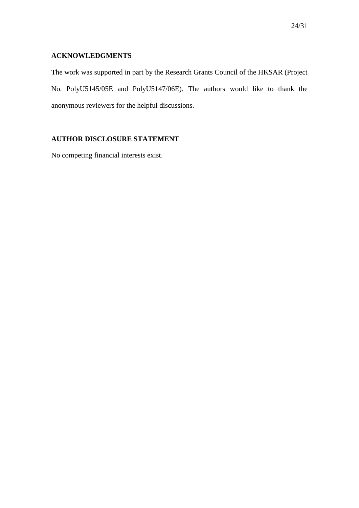# **ACKNOWLEDGMENTS**

The work was supported in part by the Research Grants Council of the HKSAR (Project No. PolyU5145/05E and PolyU5147/06E). The authors would like to thank the anonymous reviewers for the helpful discussions.

# **AUTHOR DISCLOSURE STATEMENT**

No competing financial interests exist.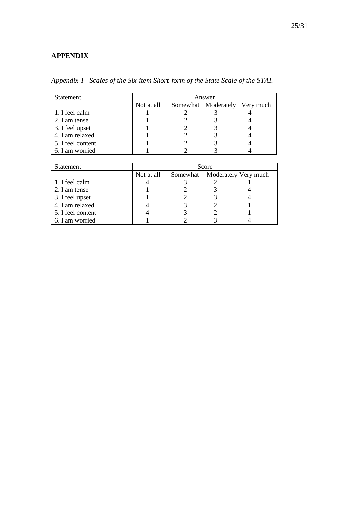# **APPENDIX**

| Statement         |            | Answer |                               |  |  |
|-------------------|------------|--------|-------------------------------|--|--|
|                   | Not at all |        | Somewhat Moderately Very much |  |  |
| 1. I feel calm    |            |        |                               |  |  |
| 2. I am tense     |            |        |                               |  |  |
| 3. I feel upset   |            |        |                               |  |  |
| 4. I am relaxed   |            |        |                               |  |  |
| 5. I feel content |            |        |                               |  |  |
| 6. I am worried   |            |        |                               |  |  |

*Appendix 1 Scales of the Six-item Short-form of the State Scale of the STAI.*

| <b>Statement</b>  | Score      |  |                               |  |  |
|-------------------|------------|--|-------------------------------|--|--|
|                   | Not at all |  | Somewhat Moderately Very much |  |  |
| 1. I feel calm    |            |  |                               |  |  |
| 2. I am tense     |            |  |                               |  |  |
| 3. I feel upset   |            |  |                               |  |  |
| 4. I am relaxed   |            |  |                               |  |  |
| 5. I feel content |            |  |                               |  |  |
| 6. I am worried   |            |  |                               |  |  |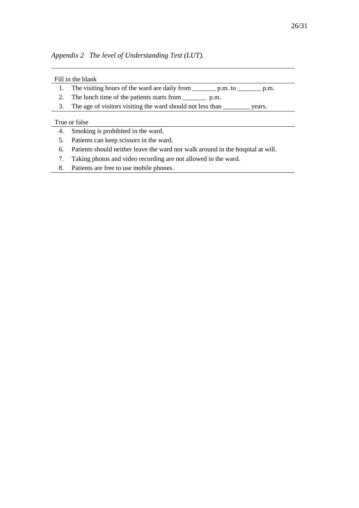*Appendix 2 The level of Understanding Test (LUT).*

### Fill in the blank

- 1. The visiting hours of the ward are daily from \_\_\_\_\_\_\_ p.m. to \_\_\_\_\_\_\_ p.m.
- 2. The lunch time of the patients starts from \_\_\_\_\_\_\_ p.m.
- 3. The age of visitors visiting the ward should not less than \_\_\_\_\_\_\_\_ years.

#### True or false

- 4. Smoking is prohibited in the ward.
- 5. Patients can keep scissors in the ward.
- 6. Patients should neither leave the ward nor walk around in the hospital at will.
- 7. Taking photos and video recording are not allowed in the ward.
- 8. Patients are free to use mobile phones.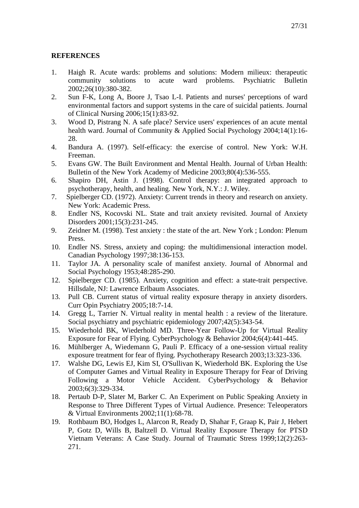# **REFERENCES**

- 1. Haigh R. Acute wards: problems and solutions: Modern milieux: therapeutic community solutions to acute ward problems. Psychiatric Bulletin 2002;26(10):380-382.
- 2. Sun F-K, Long A, Boore J, Tsao L-I. Patients and nurses' perceptions of ward environmental factors and support systems in the care of suicidal patients. Journal of Clinical Nursing 2006;15(1):83-92.
- 3. Wood D, Pistrang N. A safe place? Service users' experiences of an acute mental health ward. Journal of Community & Applied Social Psychology 2004;14(1):16- 28.
- 4. Bandura A. (1997). Self-efficacy: the exercise of control. New York: W.H. Freeman.
- 5. Evans GW. The Built Environment and Mental Health. Journal of Urban Health: Bulletin of the New York Academy of Medicine 2003;80(4):536-555.
- 6. Shapiro DH, Astin J. (1998). Control therapy: an integrated approach to psychotherapy, health, and healing. New York, N.Y.: J. Wiley.
- 7. Spielberger CD. (1972). Anxiety: Current trends in theory and research on anxiety. New York: Academic Press.
- 8. Endler NS, Kocovski NL. State and trait anxiety revisited. Journal of Anxiety Disorders 2001;15(3):231-245.
- 9. Zeidner M. (1998). Test anxiety : the state of the art. New York ; London: Plenum Press.
- 10. Endler NS. Stress, anxiety and coping: the multidimensional interaction model. Canadian Psychology 1997;38:136-153.
- 11. Taylor JA. A personality scale of manifest anxiety. Journal of Abnormal and Social Psychology 1953;48:285-290.
- 12. Spielberger CD. (1985). Anxiety, cognition and effect: a state-trait perspective. Hillsdale, NJ: Lawrence Erlbaum Associates.
- 13. Pull CB. Current status of virtual reality exposure therapy in anxiety disorders. Curr Opin Psychiatry 2005;18:7-14.
- 14. Gregg L, Tarrier N. Virtual reality in mental health : a review of the literature. Social psychiatry and psychiatric epidemiology 2007;42(5):343-54.
- 15. Wiederhold BK, Wiederhold MD. Three-Year Follow-Up for Virtual Reality Exposure for Fear of Flying. CyberPsychology & Behavior 2004;6(4):441-445.
- 16. Mühlberger A, Wiedemann G, Pauli P. Efficacy of a one-session virtual reality exposure treatment for fear of flying. Psychotherapy Research 2003;13:323-336.
- 17. Walshe DG, Lewis EJ, Kim SI, O'Sullivan K, Wiederhold BK. Exploring the Use of Computer Games and Virtual Reality in Exposure Therapy for Fear of Driving Following a Motor Vehicle Accident. CyberPsychology & Behavior 2003;6(3):329-334.
- 18. Pertaub D-P, Slater M, Barker C. An Experiment on Public Speaking Anxiety in Response to Three Different Types of Virtual Audience. Presence: Teleoperators & Virtual Environments 2002;11(1):68-78.
- 19. Rothbaum BO, Hodges L, Alarcon R, Ready D, Shahar F, Graap K, Pair J, Hebert P, Gotz D, Wills B, Baltzell D. Virtual Reality Exposure Therapy for PTSD Vietnam Veterans: A Case Study. Journal of Traumatic Stress 1999;12(2):263- 271.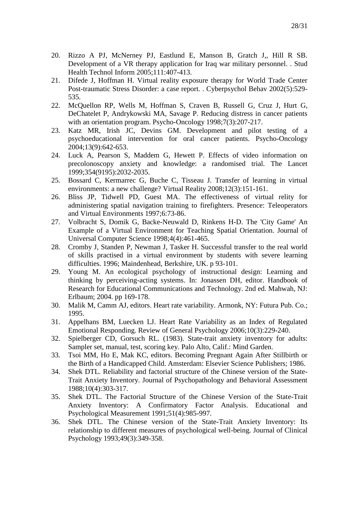- 20. Rizzo A PJ, McNerney PJ, Eastlund E, Manson B, Gratch J,, Hill R SB. Development of a VR therapy application for Iraq war military personnel. . Stud Health Technol Inform 2005;111:407-413.
- 21. Difede J, Hoffman H. Virtual reality exposure therapy for World Trade Center Post-traumatic Stress Disorder: a case report. . Cyberpsychol Behav 2002(5):529- 535.
- 22. McQuellon RP, Wells M, Hoffman S, Craven B, Russell G, Cruz J, Hurt G, DeChatelet P, Andrykowski MA, Savage P. Reducing distress in cancer patients with an orientation program. Psycho-Oncology 1998;7(3):207-217.
- 23. Katz MR, Irish JC, Devins GM. Development and pilot testing of a psychoeducational intervention for oral cancer patients. Psycho-Oncology 2004;13(9):642-653.
- 24. Luck A, Pearson S, Maddem G, Hewett P. Effects of video information on precolonoscopy anxiety and knowledge: a randomised trial. The Lancet 1999;354(9195):2032-2035.
- 25. Bossard C, Kermarrec G, Buche C, Tisseau J. Transfer of learning in virtual environments: a new challenge? Virtual Reality 2008;12(3):151-161.
- 26. Bliss JP, Tidwell PD, Guest MA. The effectiveness of virtual relity for administering spatial navigation training to firefighters. Presence: Teleoperators and Virtual Environments 1997;6:73-86.
- 27. Volbracht S, Domik G, Backe-Neuwald D, Rinkens H-D. The 'City Game' An Example of a Virtual Environment for Teaching Spatial Orientation. Journal of Universal Computer Science 1998;4(4):461-465.
- 28. Cromby J, Standen P, Newman J, Tasker H. Successful transfer to the real world of skills practised in a virtual environment by students with severe learning difficulties. 1996; Maindenhead, Berkshire, UK. p 93-101.
- 29. Young M. An ecological psychology of instructional design: Learning and thinking by perceiving-acting systems. In: Jonassen DH, editor. Handbook of Research for Educational Communications and Technology. 2nd ed. Mahwah, NJ: Erlbaum; 2004. pp 169-178.
- 30. Malik M, Camm AJ, editors. Heart rate variability. Armonk, NY: Futura Pub. Co.; 1995.
- 31. Appelhans BM, Luecken LJ. Heart Rate Variability as an Index of Regulated Emotional Responding. Review of General Psychology 2006;10(3):229-240.
- 32. Spielberger CD, Gorsuch RL. (1983). State-trait anxiety inventory for adults: Sampler set, manual, test, scoring key. Palo Alto, Calif.: Mind Garden.
- 33. Tsoi MM, Ho E, Mak KC, editors. Becoming Pregnant Again After Stillbirth or the Birth of a Handicapped Child. Amsterdam: Elsevier Science Publishers; 1986.
- 34. Shek DTL. Reliability and factorial structure of the Chinese version of the State-Trait Anxiety Inventory. Journal of Psychopathology and Behavioral Assessment 1988;10(4):303-317.
- 35. Shek DTL. The Factorial Structure of the Chinese Version of the State-Trait Anxiety Inventory: A Confirmatory Factor Analysis. Educational and Psychological Measurement 1991;51(4):985-997.
- 36. Shek DTL. The Chinese version of the State-Trait Anxiety Inventory: Its relationship to different measures of psychological well-being. Journal of Clinical Psychology 1993;49(3):349-358.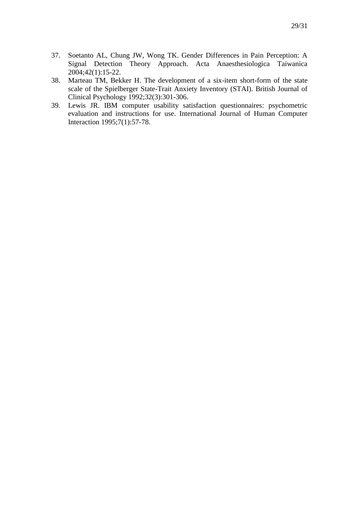- 37. Soetanto AL, Chung JW, Wong TK. Gender Differences in Pain Perception: A Signal Detection Theory Approach. Acta Anaesthesiologica Taiwanica 2004;42(1):15-22.
- 38. Marteau TM, Bekker H. The development of a six-item short-form of the state scale of the Spielberger State-Trait Anxiety Inventory (STAI). British Journal of Clinical Psychology 1992;32(3):301-306.
- 39. Lewis JR. IBM computer usability satisfaction questionnaires: psychometric evaluation and instructions for use. International Journal of Human Computer Interaction 1995;7(1):57-78.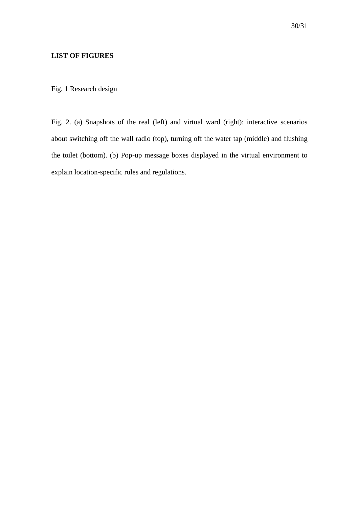# **LIST OF FIGURES**

Fig. 1 Research design

Fig. 2. (a) Snapshots of the real (left) and virtual ward (right): interactive scenarios about switching off the wall radio (top), turning off the water tap (middle) and flushing the toilet (bottom). (b) Pop-up message boxes displayed in the virtual environment to explain location-specific rules and regulations.